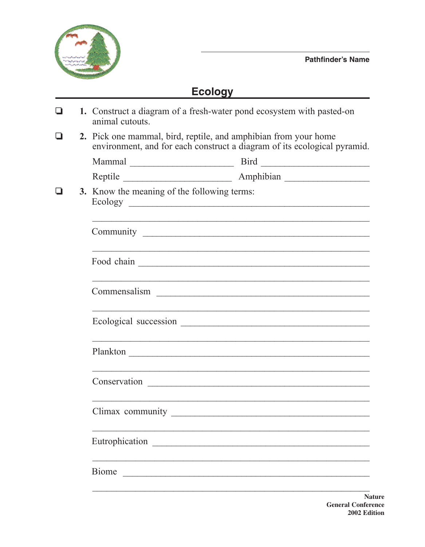## **Ecology**

| ◘ | 1. Construct a diagram of a fresh-water pond ecosystem with pasted-on<br>animal cutouts.                                                    |                                                                                                                            |  |  |  |  |
|---|---------------------------------------------------------------------------------------------------------------------------------------------|----------------------------------------------------------------------------------------------------------------------------|--|--|--|--|
| ப | 2. Pick one mammal, bird, reptile, and amphibian from your home<br>environment, and for each construct a diagram of its ecological pyramid. |                                                                                                                            |  |  |  |  |
|   |                                                                                                                                             |                                                                                                                            |  |  |  |  |
|   |                                                                                                                                             |                                                                                                                            |  |  |  |  |
|   | 3. Know the meaning of the following terms:                                                                                                 |                                                                                                                            |  |  |  |  |
|   | ,我们也不能在这里的时候,我们也不能在这里的时候,我们也不能会在这里,我们也不能会不能会不能会不能会不能会不能会不能会。""我们的是,我们也不能会不能会不能会不                                                            |                                                                                                                            |  |  |  |  |
|   |                                                                                                                                             |                                                                                                                            |  |  |  |  |
|   |                                                                                                                                             |                                                                                                                            |  |  |  |  |
|   |                                                                                                                                             |                                                                                                                            |  |  |  |  |
|   |                                                                                                                                             |                                                                                                                            |  |  |  |  |
|   |                                                                                                                                             | ,我们也不能在这里的时候,我们也不能在这里的时候,我们也不能会在这里,我们也不能会在这里的时候,我们也不能会在这里的时候,我们也不能会在这里的时候,我们也不能会<br>Conservation Lawrence and Conservation |  |  |  |  |
|   | Climax community                                                                                                                            | <u> 2000 - 2000 - 2000 - 2000 - 2000 - 2000 - 2000 - 2000 - 2000 - 2000 - 2000 - 2000 - 2000 - 2000 - 2000 - 200</u>       |  |  |  |  |
|   |                                                                                                                                             |                                                                                                                            |  |  |  |  |
|   | <b>Biome</b><br><u> 1980 - Johann Stoff, fransk kampens og den s</u>                                                                        |                                                                                                                            |  |  |  |  |
|   |                                                                                                                                             |                                                                                                                            |  |  |  |  |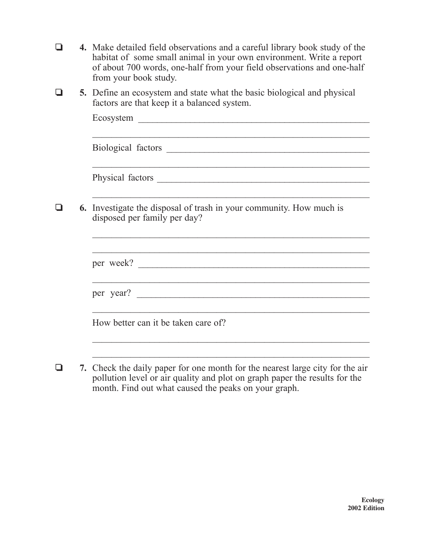- **4.** Make detailed field observations and a careful library book study of the habitat of some small animal in your own environment. Write a report of about 700 words, one-half from your field observations and one-half from your book study.
- $\Box$  5. Define an ecosystem and state what the basic biological and physical factors are that keep it a balanced system.

|  | <b>6.</b> Investigate the disposal of trash in your community. How much is<br>disposed per family per day? |  |
|--|------------------------------------------------------------------------------------------------------------|--|
|  |                                                                                                            |  |
|  |                                                                                                            |  |
|  |                                                                                                            |  |
|  | per year?                                                                                                  |  |
|  |                                                                                                            |  |
|  | How better can it be taken care of?                                                                        |  |
|  |                                                                                                            |  |

 $\Box$  7. Check the daily paper for one month for the nearest large city for the air pollution level or air quality and plot on graph paper the results for the month. Find out what caused the peaks on your graph.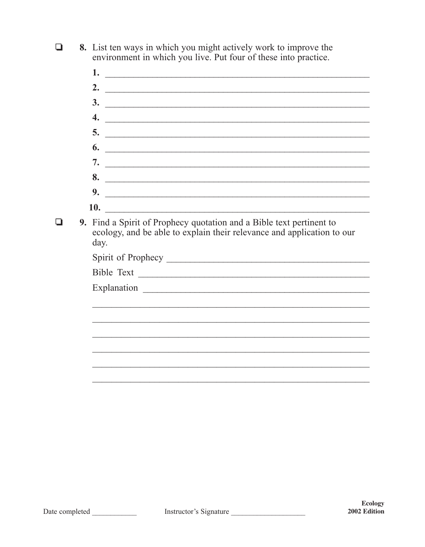8. List ten ways in which you might actively work to improve the  $\Box$ environment in which you live. Put four of these into practice.

 $1.$   $\overline{\phantom{a}}$ 2.  $\overline{\phantom{a}}$  $\frac{3}{2}$ 4.  $\overline{\phantom{a}}$  $5.$   $\overline{\phantom{0}}$  $\overline{6}$ . 8. 9.  $\overline{\phantom{a}}$ **10.** The contract of the contract of the contract of the contract of the contract of the contract of the contract of the contract of the contract of the contract of the contract of the contract of the contract of the cont 9. Find a Spirit of Prophecy quotation and a Bible text pertinent to ecology, and be able to explain their relevance and application to our day. Bible Text 

 $\Box$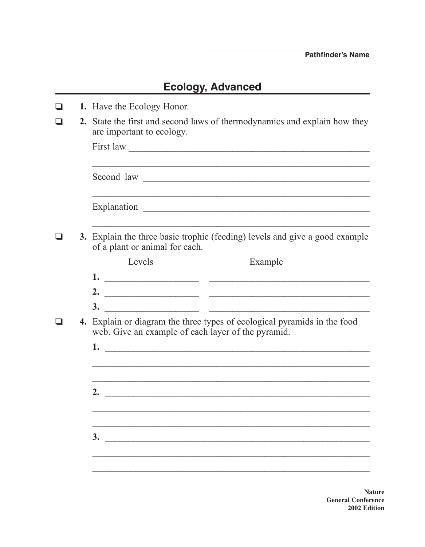## **Ecology, Advanced**

| 1. Have the Ecology Honor. |                                                                                                                                |                                                             |  |  |
|----------------------------|--------------------------------------------------------------------------------------------------------------------------------|-------------------------------------------------------------|--|--|
|                            | 2. State the first and second laws of thermodynamics and explain how they<br>are important to ecology.                         |                                                             |  |  |
|                            |                                                                                                                                |                                                             |  |  |
|                            |                                                                                                                                |                                                             |  |  |
|                            |                                                                                                                                | <u> 1989 - Johann Stoff, amerikansk politiker (d. 1989)</u> |  |  |
|                            | 3. Explain the three basic trophic (feeding) levels and give a good example<br>of a plant or animal for each.                  |                                                             |  |  |
|                            | Levels                                                                                                                         | Example                                                     |  |  |
|                            |                                                                                                                                |                                                             |  |  |
|                            |                                                                                                                                |                                                             |  |  |
|                            | 3.<br><u> 2000 - Januar Alexandro III, martxa eta batarra hamarkada eta batarra hamarkada eta batarra hamarkada eta ba</u>     |                                                             |  |  |
|                            | 4. Explain or diagram the three types of ecological pyramids in the food<br>web. Give an example of each layer of the pyramid. |                                                             |  |  |
|                            |                                                                                                                                |                                                             |  |  |
|                            |                                                                                                                                |                                                             |  |  |
|                            |                                                                                                                                |                                                             |  |  |
|                            | 2.<br><u> 1980 - John Stein, Amerikaansk politiker (</u>                                                                       |                                                             |  |  |
|                            |                                                                                                                                |                                                             |  |  |
|                            |                                                                                                                                |                                                             |  |  |
|                            | 3.                                                                                                                             |                                                             |  |  |
|                            |                                                                                                                                |                                                             |  |  |
|                            |                                                                                                                                |                                                             |  |  |

**Nature General Conference** 2002 Edition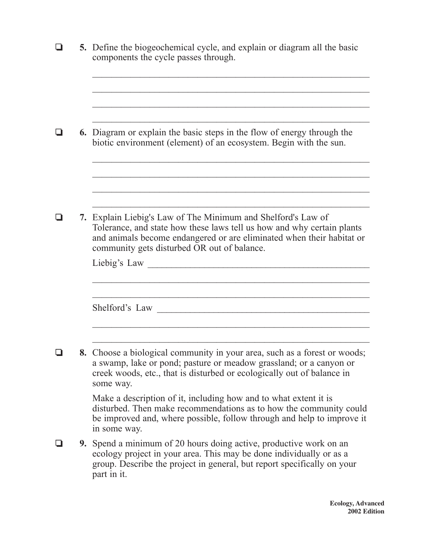|  | 5. Define the biogeochemical cycle, and explain or diagram all the basic<br>components the cycle passes through.                                                                                                                                                               |  |  |
|--|--------------------------------------------------------------------------------------------------------------------------------------------------------------------------------------------------------------------------------------------------------------------------------|--|--|
|  | <b>6.</b> Diagram or explain the basic steps in the flow of energy through the<br>biotic environment (element) of an ecosystem. Begin with the sun.                                                                                                                            |  |  |
|  | 7. Explain Liebig's Law of The Minimum and Shelford's Law of<br>Tolerance, and state how these laws tell us how and why certain plants<br>and animals become endangered or are eliminated when their habitat or<br>community gets disturbed OR out of balance.<br>Liebig's Law |  |  |
|  | Shelford's Law                                                                                                                                                                                                                                                                 |  |  |
|  | 8. Choose a biological community in your area, such as a forest or woods;<br>a swamp, lake or pond; pasture or meadow grassland; or a canyon or<br>creek woods, etc., that is disturbed or ecologically out of balance in<br>some way.                                         |  |  |
|  | Make a description of it, including how and to what extent it is<br>disturbed. Then make recommendations as to how the community could<br>be improved and, where possible, follow through and help to improve it<br>in some way.                                               |  |  |
|  | <b>9.</b> Spend a minimum of 20 hours doing active, productive work on an<br>ecology project in your area. This may be done individually or as a<br>group. Describe the project in general, but report specifically on your<br>part in it.                                     |  |  |
|  |                                                                                                                                                                                                                                                                                |  |  |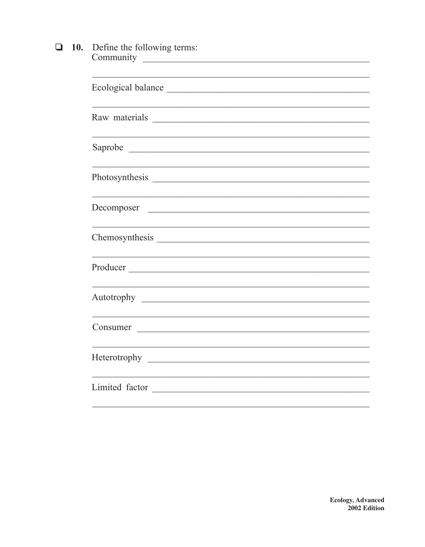|  | $\Box$ 10. Define the following terms: |
|--|----------------------------------------|
|  | Community                              |

| Ecological balance                                                                                                                |
|-----------------------------------------------------------------------------------------------------------------------------------|
|                                                                                                                                   |
|                                                                                                                                   |
|                                                                                                                                   |
| Decomposer                                                                                                                        |
|                                                                                                                                   |
|                                                                                                                                   |
| <u> 1989 - Johann Stoff, deutscher Stoffen und der Stoffen und der Stoffen und der Stoffen und der Stoffen und der </u>           |
| <u> 1989 - Johann John Stein, markin fan it ferskearre fan it ferskearre fan it ferskearre fan it ferskearre fan </u><br>Consumer |
|                                                                                                                                   |
| Limited factor                                                                                                                    |